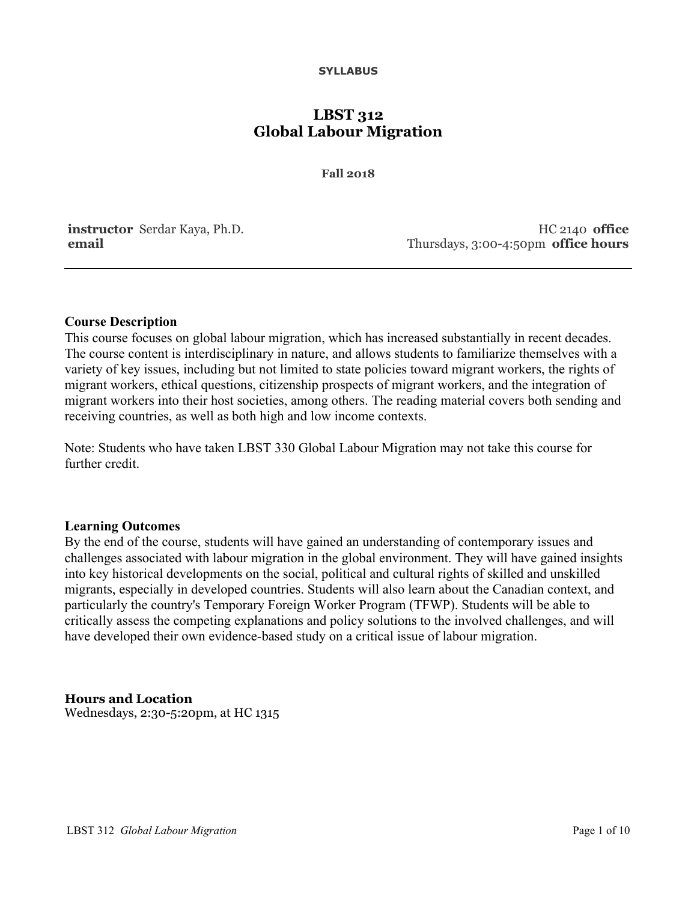#### **SYLLABUS**

# **LBST 312 Global Labour Migration**

**Fall 2018**

**instructor** Serdar Kaya, Ph.D. **email**

HC 2140 **office** Thursdays, 3:00-4:50pm **office hours**

### **Course Description**

This course focuses on global labour migration, which has increased substantially in recent decades. The course content is interdisciplinary in nature, and allows students to familiarize themselves with a variety of key issues, including but not limited to state policies toward migrant workers, the rights of migrant workers, ethical questions, citizenship prospects of migrant workers, and the integration of migrant workers into their host societies, among others. The reading material covers both sending and receiving countries, as well as both high and low income contexts.

Note: Students who have taken LBST 330 Global Labour Migration may not take this course for further credit.

#### **Learning Outcomes**

By the end of the course, students will have gained an understanding of contemporary issues and challenges associated with labour migration in the global environment. They will have gained insights into key historical developments on the social, political and cultural rights of skilled and unskilled migrants, especially in developed countries. Students will also learn about the Canadian context, and particularly the country's Temporary Foreign Worker Program (TFWP). Students will be able to critically assess the competing explanations and policy solutions to the involved challenges, and will have developed their own evidence-based study on a critical issue of labour migration.

### **Hours and Location**

Wednesdays, 2:30-5:20pm, at HC 1315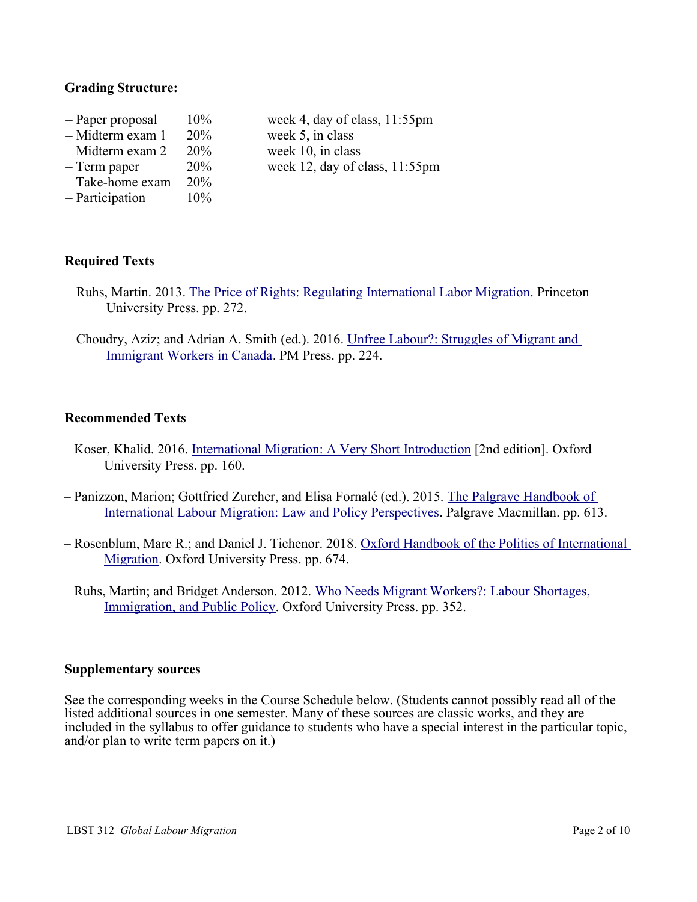### **Grading Structure:**

- $-$  Paper proposal  $10\%$  week 4, day of class, 11:55pm
- Midterm exam 1 20% week 5, in class
- $-$  Midterm exam 2 20% week 10, in class
- Term paper 20% week 12, day of class, 11:55pm
- Take-home exam 20%
- Participation 10%

## **Required Texts**

- Ruhs, Martin. 2013. [The Price of Rights: Regulating International Labor Migration.](https://www.amazon.ca/dp/0691132917/) Princeton University Press. pp. 272.
- Choudry, Aziz; and Adrian A. Smith (ed.). 2016. [Unfree Labour?: Struggles of Migrant and](https://www.amazon.ca/dp/1629631493/)  [Immigrant Workers in Canada.](https://www.amazon.ca/dp/1629631493/) PM Press. pp. 224.

### **Recommended Texts**

- Koser, Khalid. 2016. [International Migration: A Very Short Introduction](https://www.amazon.ca/dp/0198753772/) [2nd edition]. Oxford University Press. pp. 160.
- Panizzon, Marion; Gottfried Zurcher, and Elisa Fornalé (ed.). 2015. [The Palgrave Handbook of](https://www.amazon.ca/dp/1349674877/)  [International Labour Migration: Law and Policy Perspectives.](https://www.amazon.ca/dp/1349674877/) Palgrave Macmillan. pp. 613.
- Rosenblum, Marc R.; and Daniel J. Tichenor. 2018. [Oxford Handbook of the Politics of International](https://www.amazon.ca/dp/0190692227/)  [Migration.](https://www.amazon.ca/dp/0190692227/) Oxford University Press. pp. 674.
- Ruhs, Martin; and Bridget Anderson. 2012. [Who Needs Migrant Workers?: Labour Shortages,](https://www.amazon.ca/dp/0199653615/)  [Immigration, and Public Policy.](https://www.amazon.ca/dp/0199653615/) Oxford University Press. pp. 352.

### **Supplementary sources**

See the corresponding weeks in the Course Schedule below. (Students cannot possibly read all of the listed additional sources in one semester. Many of these sources are classic works, and they are included in the syllabus to offer guidance to students who have a special interest in the particular topic, and/or plan to write term papers on it.)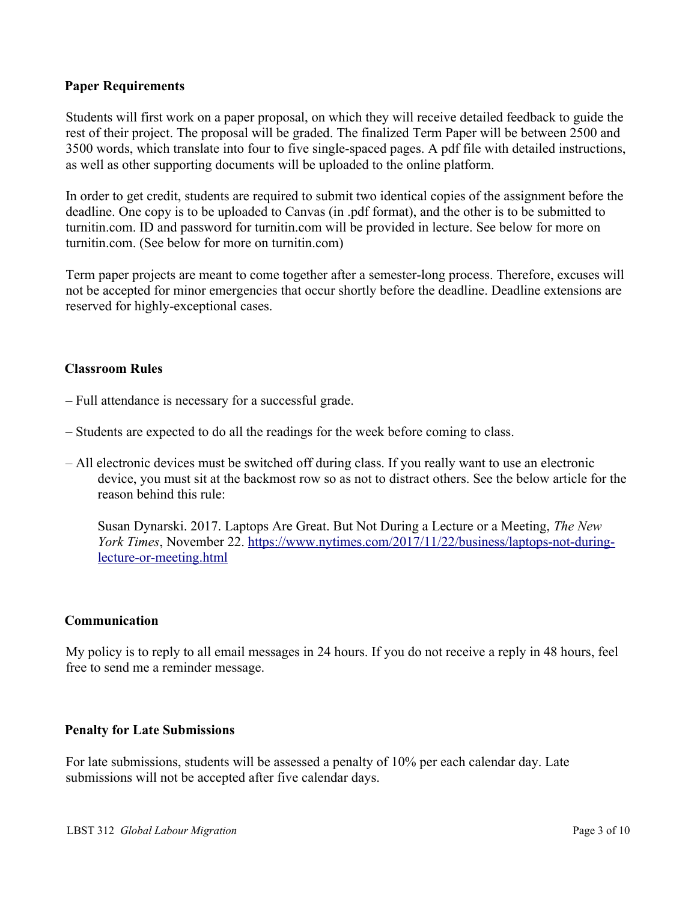### **Paper Requirements**

Students will first work on a paper proposal, on which they will receive detailed feedback to guide the rest of their project. The proposal will be graded. The finalized Term Paper will be between 2500 and 3500 words, which translate into four to five single-spaced pages. A pdf file with detailed instructions, as well as other supporting documents will be uploaded to the online platform.

In order to get credit, students are required to submit two identical copies of the assignment before the deadline. One copy is to be uploaded to Canvas (in .pdf format), and the other is to be submitted to turnitin.com. ID and password for turnitin.com will be provided in lecture. See below for more on turnitin.com. (See below for more on turnitin.com)

Term paper projects are meant to come together after a semester-long process. Therefore, excuses will not be accepted for minor emergencies that occur shortly before the deadline. Deadline extensions are reserved for highly-exceptional cases.

### **Classroom Rules**

- Full attendance is necessary for a successful grade.
- Students are expected to do all the readings for the week before coming to class.
- All electronic devices must be switched off during class. If you really want to use an electronic device, you must sit at the backmost row so as not to distract others. See the below article for the reason behind this rule:

Susan Dynarski. 2017. Laptops Are Great. But Not During a Lecture or a Meeting, *The New York Times*, November 22. [https://www.nytimes.com/2017/11/22/business/laptops-not-during](https://www.nytimes.com/2017/11/22/business/laptops-not-during-lecture-or-meeting.html)[lecture-or-meeting.html](https://www.nytimes.com/2017/11/22/business/laptops-not-during-lecture-or-meeting.html)

### **Communication**

My policy is to reply to all email messages in 24 hours. If you do not receive a reply in 48 hours, feel free to send me a reminder message.

### **Penalty for Late Submissions**

For late submissions, students will be assessed a penalty of 10% per each calendar day. Late submissions will not be accepted after five calendar days.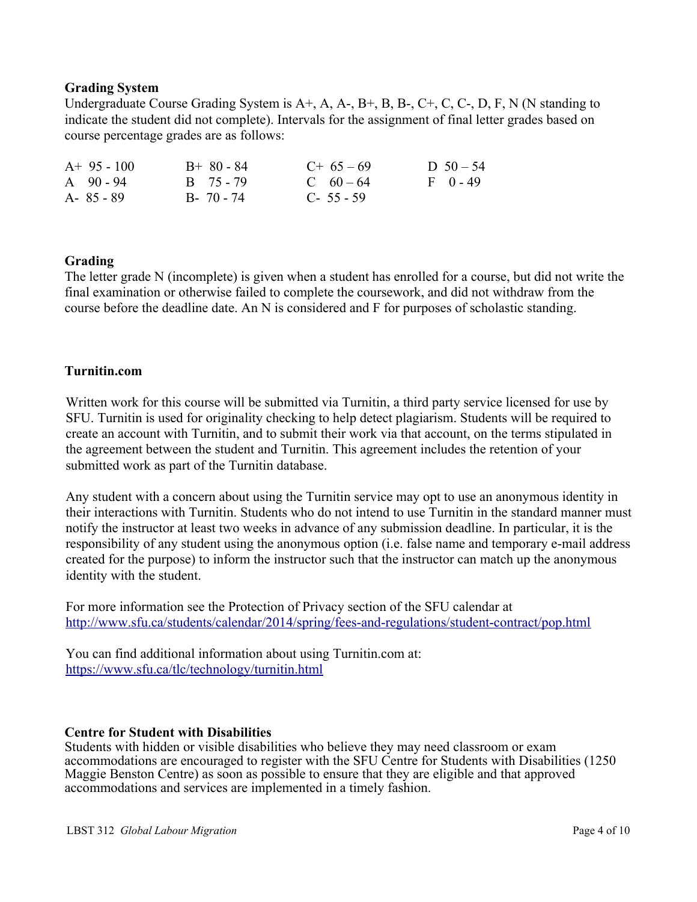### **Grading System**

Undergraduate Course Grading System is A+, A, A-, B+, B, B-, C+, C, C-, D, F, N (N standing to indicate the student did not complete). Intervals for the assignment of final letter grades based on course percentage grades are as follows:

| $A+95-100$    | $B+80-84$     | $C+65-69$ | D $50 - 54$ |
|---------------|---------------|-----------|-------------|
| $A = 90 - 94$ | B 75 - 79     | C $60-64$ | $F(0-49)$   |
| $A - 85 - 89$ | $B - 70 - 74$ | $C-55-59$ |             |

### **Grading**

The letter grade N (incomplete) is given when a student has enrolled for a course, but did not write the final examination or otherwise failed to complete the coursework, and did not withdraw from the course before the deadline date. An N is considered and F for purposes of scholastic standing.

### **Turnitin.com**

Written work for this course will be submitted via Turnitin, a third party service licensed for use by SFU. Turnitin is used for originality checking to help detect plagiarism. Students will be required to create an account with Turnitin, and to submit their work via that account, on the terms stipulated in the agreement between the student and Turnitin. This agreement includes the retention of your submitted work as part of the Turnitin database.

Any student with a concern about using the Turnitin service may opt to use an anonymous identity in their interactions with Turnitin. Students who do not intend to use Turnitin in the standard manner must notify the instructor at least two weeks in advance of any submission deadline. In particular, it is the responsibility of any student using the anonymous option (i.e. false name and temporary e-mail address created for the purpose) to inform the instructor such that the instructor can match up the anonymous identity with the student.

For more information see the Protection of Privacy section of the SFU calendar at <http://www.sfu.ca/students/calendar/2014/spring/fees-and-regulations/student-contract/pop.html>

You can find additional information about using Turnitin.com at: <https://www.sfu.ca/tlc/technology/turnitin.html>

### **Centre for Student with Disabilities**

Students with hidden or visible disabilities who believe they may need classroom or exam accommodations are encouraged to register with the SFU Centre for Students with Disabilities (1250 Maggie Benston Centre) as soon as possible to ensure that they are eligible and that approved accommodations and services are implemented in a timely fashion.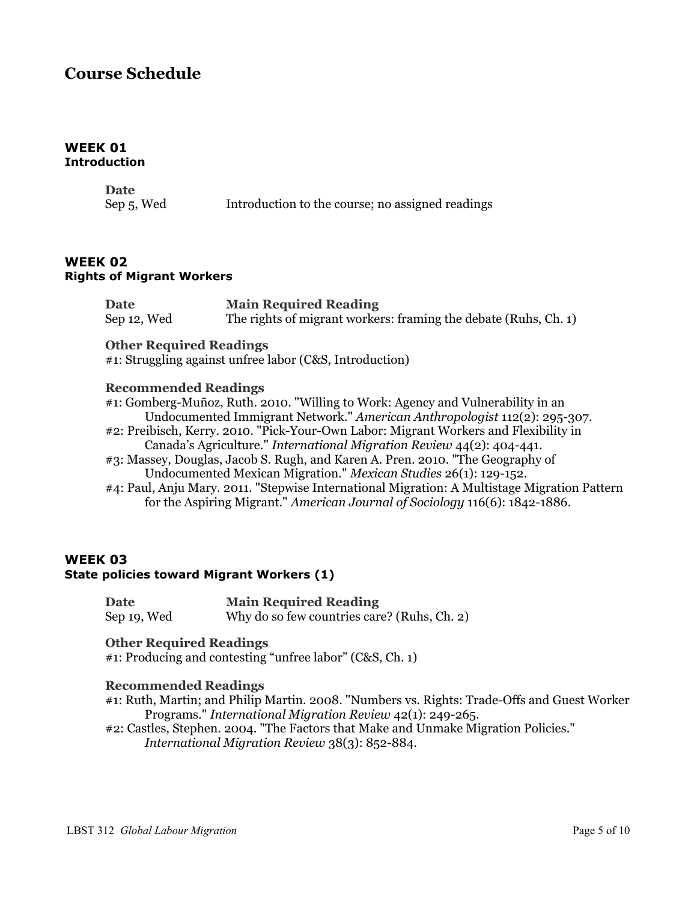# **Course Schedule**

### **WEEK 01 Introduction**

| <b>Date</b> |  |
|-------------|--|
| Sep 5, Wed  |  |

Introduction to the course; no assigned readings

### **WEEK 02 Rights of Migrant Workers**

**Date Main Required Reading** Sep 12, Wed The rights of migrant workers: framing the debate (Ruhs, Ch. 1)

#### **Other Required Readings**

#1: Struggling against unfree labor (C&S, Introduction)

#### **Recommended Readings**

#1: Gomberg-Muñoz, Ruth. 2010. "Willing to Work: Agency and Vulnerability in an Undocumented Immigrant Network." *American Anthropologist* 112(2): 295-307. #2: Preibisch, Kerry. 2010. "Pick-Your-Own Labor: Migrant Workers and Flexibility in Canada's Agriculture." *International Migration Review* 44(2): 404-441. #3: Massey, Douglas, Jacob S. Rugh, and Karen A. Pren. 2010. "The Geography of Undocumented Mexican Migration." *Mexican Studies* 26(1): 129-152. #4: Paul, Anju Mary. 2011. "Stepwise International Migration: A Multistage Migration Pattern for the Aspiring Migrant." *American Journal of Sociology* 116(6): 1842-1886.

### **WEEK 03 State policies toward Migrant Workers (1)**

**Date Main Required Reading** Sep 19, Wed Why do so few countries care? (Ruhs, Ch. 2)

#### **Other Required Readings**

#1: Producing and contesting "unfree labor" (C&S, Ch. 1)

### **Recommended Readings**

#1: Ruth, Martin; and Philip Martin. 2008. "Numbers vs. Rights: Trade-Offs and Guest Worker Programs." *International Migration Review* 42(1): 249-265.

#2: Castles, Stephen. 2004. "The Factors that Make and Unmake Migration Policies." *International Migration Review* 38(3): 852-884.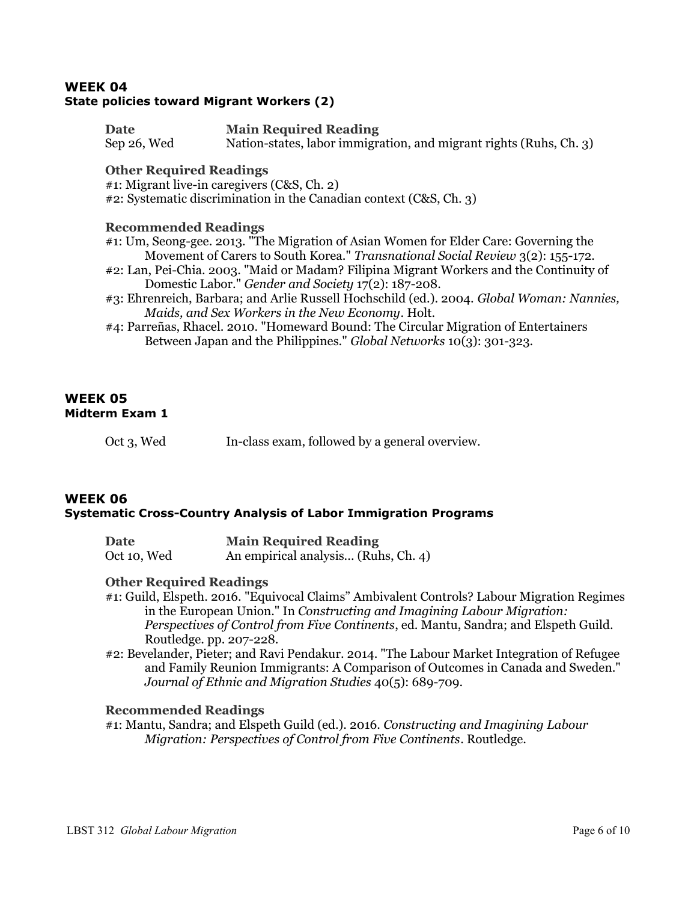### **WEEK 04 State policies toward Migrant Workers (2)**

**Date Main Required Reading** Sep 26, Wed Nation-states, labor immigration, and migrant rights (Ruhs, Ch. 3)

### **Other Required Readings**

#1: Migrant live-in caregivers (C&S, Ch. 2)

#2: Systematic discrimination in the Canadian context (C&S, Ch. 3)

### **Recommended Readings**

#1: Um, Seong-gee. 2013. "The Migration of Asian Women for Elder Care: Governing the Movement of Carers to South Korea." *Transnational Social Review* 3(2): 155-172.

- #2: Lan, Pei-Chia. 2003. "Maid or Madam? Filipina Migrant Workers and the Continuity of Domestic Labor." *Gender and Society* 17(2): 187-208.
- #3: Ehrenreich, Barbara; and Arlie Russell Hochschild (ed.). 2004. *Global Woman: Nannies, Maids, and Sex Workers in the New Economy*. Holt.
- #4: Parreñas, Rhacel. 2010. "Homeward Bound: The Circular Migration of Entertainers Between Japan and the Philippines." *Global Networks* 10(3): 301-323.

### **WEEK 05 Midterm Exam 1**

Oct 3, Wed In-class exam, followed by a general overview.

### **WEEK 06 Systematic Cross-Country Analysis of Labor Immigration Programs**

| <b>Date</b> | <b>Main Required Reading</b>        |
|-------------|-------------------------------------|
| Oct 10, Wed | An empirical analysis (Ruhs, Ch. 4) |

### **Other Required Readings**

#1: Guild, Elspeth. 2016. "Equivocal Claims" Ambivalent Controls? Labour Migration Regimes in the European Union." In *Constructing and Imagining Labour Migration: Perspectives of Control from Five Continents*, ed. Mantu, Sandra; and Elspeth Guild. Routledge. pp. 207-228.

#2: Bevelander, Pieter; and Ravi Pendakur. 2014. "The Labour Market Integration of Refugee and Family Reunion Immigrants: A Comparison of Outcomes in Canada and Sweden." *Journal of Ethnic and Migration Studies* 40(5): 689-709.

### **Recommended Readings**

#1: Mantu, Sandra; and Elspeth Guild (ed.). 2016. *Constructing and Imagining Labour Migration: Perspectives of Control from Five Continents*. Routledge.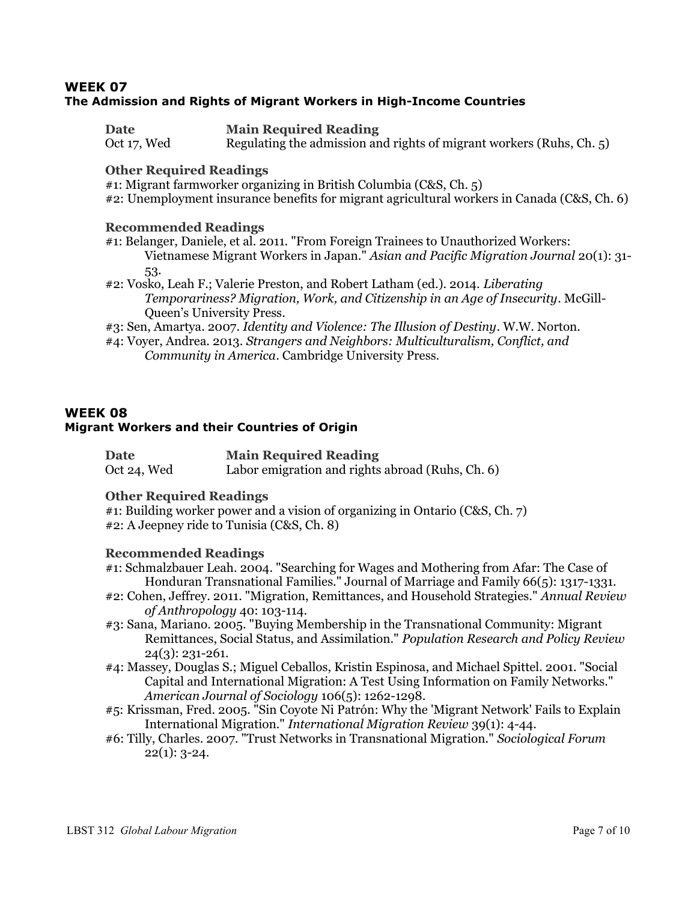### **WEEK 07 The Admission and Rights of Migrant Workers in High-Income Countries**

| Date        | <b>Main Required Reading</b>                                         |
|-------------|----------------------------------------------------------------------|
| Oct 17, Wed | Regulating the admission and rights of migrant workers (Ruhs, Ch. 5) |

### **Other Required Readings**

#1: Migrant farmworker organizing in British Columbia (C&S, Ch. 5)

#2: Unemployment insurance benefits for migrant agricultural workers in Canada (C&S, Ch. 6)

### **Recommended Readings**

#1: Belanger, Daniele, et al. 2011. "From Foreign Trainees to Unauthorized Workers: Vietnamese Migrant Workers in Japan." *Asian and Pacific Migration Journal* 20(1): 31-

53.

#2: Vosko, Leah F.; Valerie Preston, and Robert Latham (ed.). 2014. *Liberating Temporariness? Migration, Work, and Citizenship in an Age of Insecurity*. McGill-Queen's University Press.

#3: Sen, Amartya. 2007. *Identity and Violence: The Illusion of Destiny*. W.W. Norton.

#4: Voyer, Andrea. 2013. *Strangers and Neighbors: Multiculturalism, Conflict, and Community in America*. Cambridge University Press.

### **WEEK 08 Migrant Workers and their Countries of Origin**

| <b>Date</b> | <b>Main Required Reading</b>                     |
|-------------|--------------------------------------------------|
| Oct 24, Wed | Labor emigration and rights abroad (Ruhs, Ch. 6) |

### **Other Required Readings**

#1: Building worker power and a vision of organizing in Ontario (C&S, Ch. 7) #2: A Jeepney ride to Tunisia (C&S, Ch. 8)

### **Recommended Readings**

- #1: Schmalzbauer Leah. 2004. "Searching for Wages and Mothering from Afar: The Case of Honduran Transnational Families." Journal of Marriage and Family 66(5): 1317-1331.
- #2: Cohen, Jeffrey. 2011. "Migration, Remittances, and Household Strategies." *Annual Review of Anthropology* 40: 103-114.
- #3: Sana, Mariano. 2005. "Buying Membership in the Transnational Community: Migrant Remittances, Social Status, and Assimilation." *Population Research and Policy Review* 24(3): 231-261.
- #4: Massey, Douglas S.; Miguel Ceballos, Kristin Espinosa, and Michael Spittel. 2001. "Social Capital and International Migration: A Test Using Information on Family Networks." *American Journal of Sociology* 106(5): 1262-1298.
- #5: Krissman, Fred. 2005. "Sin Coyote Ni Patrón: Why the 'Migrant Network' Fails to Explain International Migration." *International Migration Review* 39(1): 4-44.
- #6: Tilly, Charles. 2007. "Trust Networks in Transnational Migration." *Sociological Forum*  $22(1)$ : 3-24.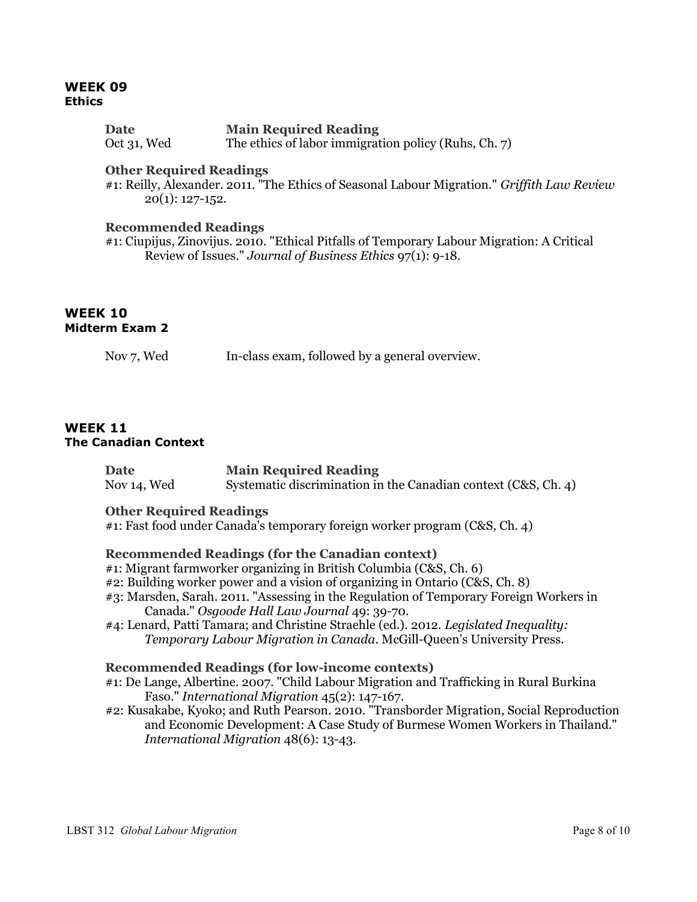### **WEEK 09 Ethics**

| <b>Date</b> | <b>Main Required Reading</b>                         |
|-------------|------------------------------------------------------|
| Oct 31, Wed | The ethics of labor immigration policy (Ruhs, Ch. 7) |

### **Other Required Readings**

#1: Reilly, Alexander. 2011. "The Ethics of Seasonal Labour Migration." *Griffith Law Review*  $20(1)$ : 127-152.

#### **Recommended Readings**

#1: Ciupijus, Zinovijus. 2010. "Ethical Pitfalls of Temporary Labour Migration: A Critical Review of Issues." *Journal of Business Ethics* 97(1): 9-18.

### **WEEK 10 Midterm Exam 2**

### **WEEK 11 The Canadian Context**

| <b>Date</b> | <b>Main Required Reading</b>                                   |
|-------------|----------------------------------------------------------------|
| Nov 14, Wed | Systematic discrimination in the Canadian context (C&S, Ch. 4) |

#### **Other Required Readings**

#1: Fast food under Canada's temporary foreign worker program (C&S, Ch. 4)

#### **Recommended Readings (for the Canadian context)**

- #1: Migrant farmworker organizing in British Columbia (C&S, Ch. 6)
- #2: Building worker power and a vision of organizing in Ontario (C&S, Ch. 8)
- #3: Marsden, Sarah. 2011. "Assessing in the Regulation of Temporary Foreign Workers in Canada." *Osgoode Hall Law Journal* 49: 39-70.
- #4: Lenard, Patti Tamara; and Christine Straehle (ed.). 2012. *Legislated Inequality: Temporary Labour Migration in Canada*. McGill-Queen's University Press.

#### **Recommended Readings (for low-income contexts)**

- #1: De Lange, Albertine. 2007. "Child Labour Migration and Trafficking in Rural Burkina Faso." *International Migration* 45(2): 147-167.
- #2: Kusakabe, Kyoko; and Ruth Pearson. 2010. "Transborder Migration, Social Reproduction and Economic Development: A Case Study of Burmese Women Workers in Thailand." *International Migration* 48(6): 13-43.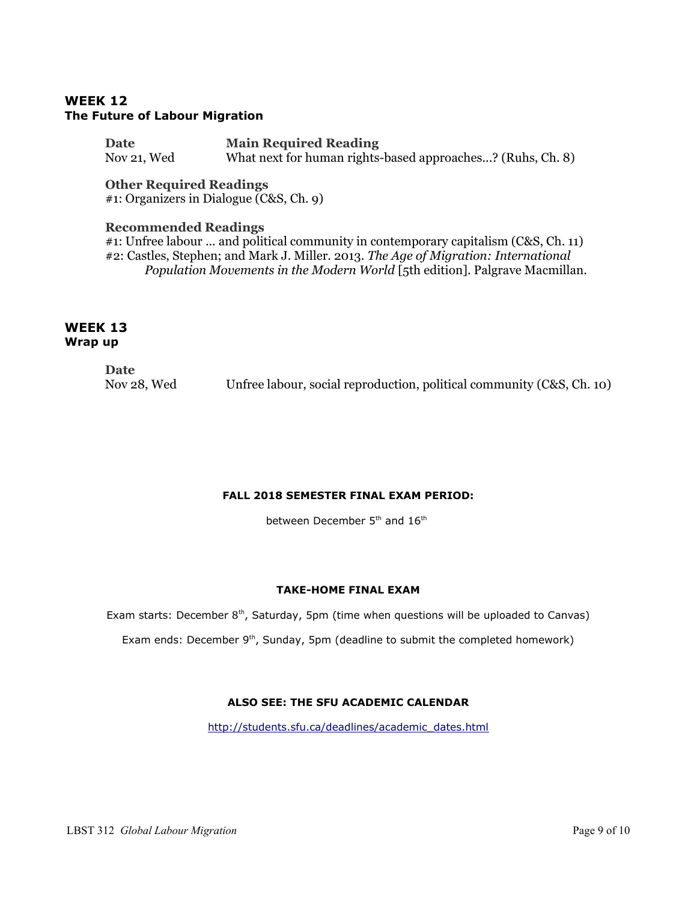### **WEEK 12 The Future of Labour Migration**

**Date Main Required Reading** Nov 21, Wed What next for human rights-based approaches...? (Ruhs, Ch. 8)

# **Other Required Readings**

#1: Organizers in Dialogue (C&S, Ch. 9)

### **Recommended Readings**

#1: Unfree labour ... and political community in contemporary capitalism (C&S, Ch. 11) #2: Castles, Stephen; and Mark J. Miller. 2013. *The Age of Migration: International Population Movements in the Modern World* [5th edition]. Palgrave Macmillan.

### **WEEK 13 Wrap up**

| Date        |                                                                       |
|-------------|-----------------------------------------------------------------------|
| Nov 28, Wed | Unfree labour, social reproduction, political community (C&S, Ch. 10) |

### **FALL 2018 SEMESTER FINAL EXAM PERIOD:**

between December 5<sup>th</sup> and 16<sup>th</sup>

### **TAKE-HOME FINAL EXAM**

Exam starts: December  $8<sup>th</sup>$ , Saturday, 5pm (time when questions will be uploaded to Canvas)

Exam ends: December 9<sup>th</sup>, Sunday, 5pm (deadline to submit the completed homework)

### **ALSO SEE: THE SFU ACADEMIC CALENDAR**

[http://students.sfu.ca/deadlines/academic\\_dates.html](http://students.sfu.ca/deadlines/academic_dates.html)